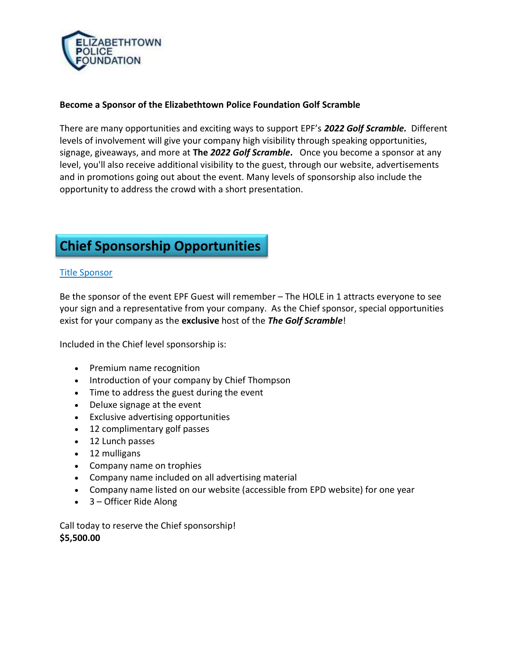

#### Become a Sponsor of the Elizabethtown Police Foundation Golf Scramble

There are many opportunities and exciting ways to support EPF's 202*2* Golf Scramble. Different levels of involvement will give your company high visibility through speaking opportunities, signage, giveaways, and more at The 20*22* Golf Scramble. Once you become a sponsor at any level, you'll also receive additional visibility to the guest, through our website, advertisements and in promotions going out about the event. Many levels of sponsorship also include the opportunity to address the crowd with a short presentation.

# Chief Sponsorship Opportunities

#### Title Sponsor

Be the sponsor of the event EPF Guest will remember – The HOLE in 1 attracts everyone to see your sign and a representative from your company. As the Chief sponsor, special opportunities exist for your company as the exclusive host of the The Golf Scramble!

Included in the Chief level sponsorship is:

- Premium name recognition
- Introduction of your company by Chief Thompson
- Time to address the guest during the event
- Deluxe signage at the event
- Exclusive advertising opportunities
- 12 complimentary golf passes
- 12 Lunch passes
- 12 mulligans
- Company name on trophies
- Company name included on all advertising material
- Company name listed on our website (accessible from EPD website) for one year
- 3 Officer Ride Along

Call today to reserve the Chief sponsorship! \$5,500.00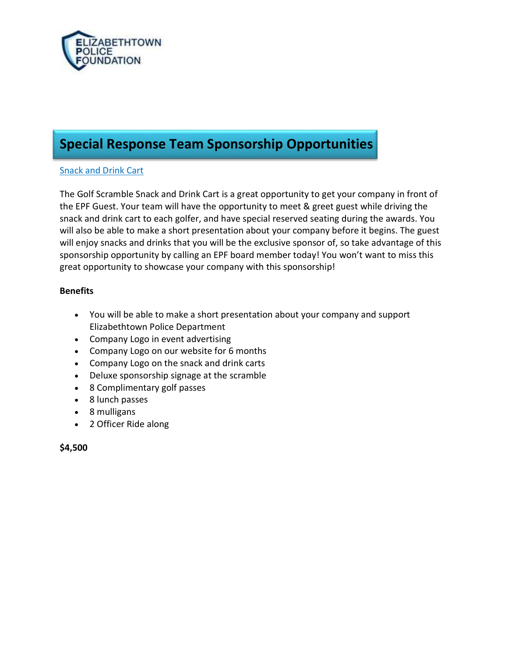

# Special Response Team Sponsorship Opportunities

#### Snack and Drink Cart

The Golf Scramble Snack and Drink Cart is a great opportunity to get your company in front of the EPF Guest. Your team will have the opportunity to meet & greet guest while driving the snack and drink cart to each golfer, and have special reserved seating during the awards. You will also be able to make a short presentation about your company before it begins. The guest will enjoy snacks and drinks that you will be the exclusive sponsor of, so take advantage of this sponsorship opportunity by calling an EPF board member today! You won't want to miss this great opportunity to showcase your company with this sponsorship!

#### **Benefits**

- You will be able to make a short presentation about your company and support Elizabethtown Police Department
- Company Logo in event advertising
- Company Logo on our website for 6 months
- Company Logo on the snack and drink carts
- Deluxe sponsorship signage at the scramble
- 8 Complimentary golf passes
- 8 lunch passes
- 8 mulligans
- 2 Officer Ride along

\$4,500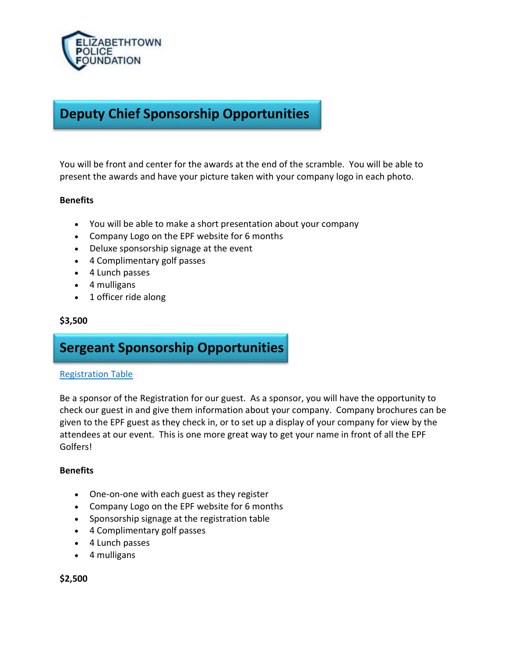

### Deputy Chief Sponsorship Opportunities

You will be front and center for the awards at the end of the scramble. You will be able to present the awards and have your picture taken with your company logo in each photo.

#### **Benefits**

- You will be able to make a short presentation about your company
- Company Logo on the EPF website for 6 months
- Deluxe sponsorship signage at the event
- 4 Complimentary golf passes
- 4 Lunch passes
- 4 mulligans
- 1 officer ride along

#### \$3,500

### Sergeant Sponsorship Opportunities

#### Registration Table

Be a sponsor of the Registration for our guest. As a sponsor, you will have the opportunity to check our guest in and give them information about your company. Company brochures can be given to the EPF guest as they check in, or to set up a display of your company for view by the attendees at our event. This is one more great way to get your name in front of all the EPF Golfers!

#### **Benefits**

- One-on-one with each guest as they register
- Company Logo on the EPF website for 6 months
- Sponsorship signage at the registration table
- 4 Complimentary golf passes
- 4 Lunch passes
- 4 mulligans

\$2,500